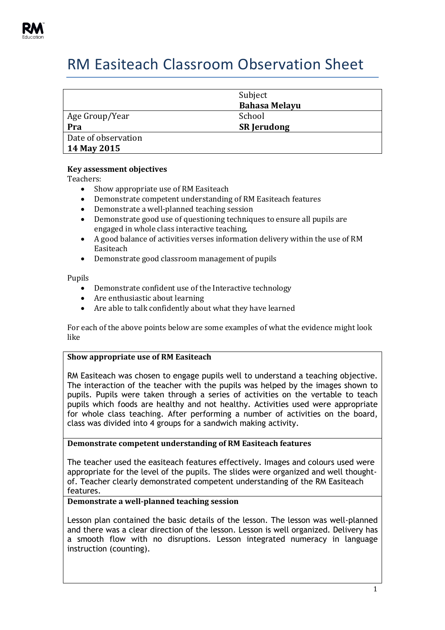

# RM Easiteach Classroom Observation Sheet

|                     | Subject<br><b>Bahasa Melayu</b> |
|---------------------|---------------------------------|
| Age Group/Year      | School                          |
| Pra                 | <b>SR Jerudong</b>              |
| Date of observation |                                 |
| 14 May 2015         |                                 |

## **Key assessment objectives**

Teachers:

- Show appropriate use of RM Easiteach
- Demonstrate competent understanding of RM Easiteach features
- Demonstrate a well-planned teaching session
- Demonstrate good use of questioning techniques to ensure all pupils are engaged in whole class interactive teaching,
- A good balance of activities verses information delivery within the use of RM Easiteach
- Demonstrate good classroom management of pupils

Pupils

- Demonstrate confident use of the Interactive technology
- Are enthusiastic about learning
- Are able to talk confidently about what they have learned

For each of the above points below are some examples of what the evidence might look like

## **Show appropriate use of RM Easiteach**

RM Easiteach was chosen to engage pupils well to understand a teaching objective. The interaction of the teacher with the pupils was helped by the images shown to pupils. Pupils were taken through a series of activities on the vertable to teach pupils which foods are healthy and not healthy. Activities used were appropriate for whole class teaching. After performing a number of activities on the board, class was divided into 4 groups for a sandwich making activity.

## **Demonstrate competent understanding of RM Easiteach features**

The teacher used the easiteach features effectively. Images and colours used were appropriate for the level of the pupils. The slides were organized and well thoughtof. Teacher clearly demonstrated competent understanding of the RM Easiteach features.

## **Demonstrate a well-planned teaching session**

Lesson plan contained the basic details of the lesson. The lesson was well-planned and there was a clear direction of the lesson. Lesson is well organized. Delivery has a smooth flow with no disruptions. Lesson integrated numeracy in language instruction (counting).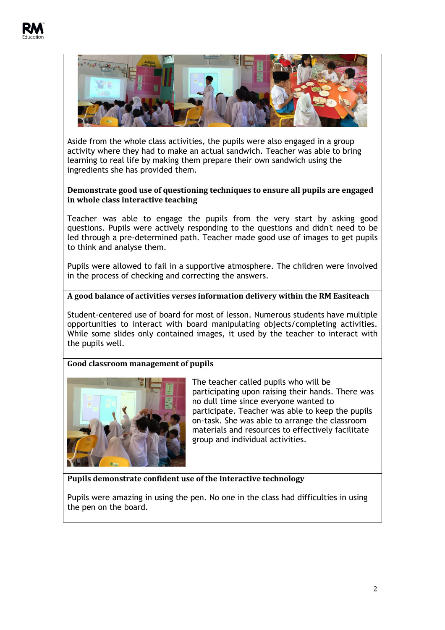

Aside from the whole class activities, the pupils were also engaged in a group activity where they had to make an actual sandwich. Teacher was able to bring learning to real life by making them prepare their own sandwich using the ingredients she has provided them.

## **Demonstrate good use of questioning techniques to ensure all pupils are engaged in whole class interactive teaching**

Teacher was able to engage the pupils from the very start by asking good questions. Pupils were actively responding to the questions and didn't need to be led through a pre-determined path. Teacher made good use of images to get pupils to think and analyse them.

Pupils were allowed to fail in a supportive atmosphere. The children were involved in the process of checking and correcting the answers.

# **A good balance of activities verses information delivery within the RM Easiteach**

Student-centered use of board for most of lesson. Numerous students have multiple opportunities to interact with board manipulating objects/completing activities. While some slides only contained images, it used by the teacher to interact with the pupils well.

# **Good classroom management of pupils**



The teacher called pupils who will be participating upon raising their hands. There was no dull time since everyone wanted to participate. Teacher was able to keep the pupils on-task. She was able to arrange the classroom materials and resources to effectively facilitate group and individual activities.

# **Pupils demonstrate confident use of the Interactive technology**

Pupils were amazing in using the pen. No one in the class had difficulties in using the pen on the board.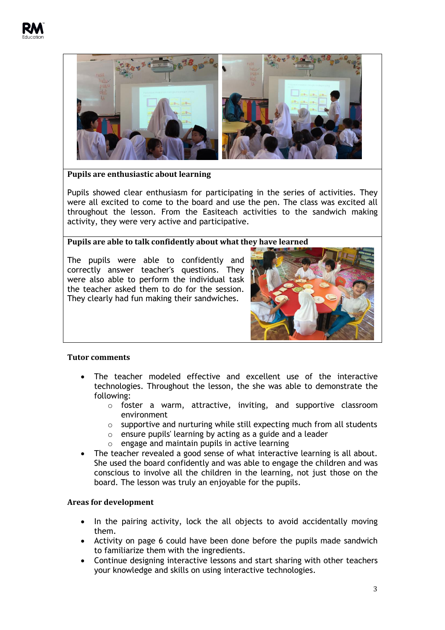



**Pupils are enthusiastic about learning**

Pupils showed clear enthusiasm for participating in the series of activities. They were all excited to come to the board and use the pen. The class was excited all throughout the lesson. From the Easiteach activities to the sandwich making activity, they were very active and participative.

## **Pupils are able to talk confidently about what they have learned**

The pupils were able to confidently and correctly answer teacher's questions. They were also able to perform the individual task the teacher asked them to do for the session. They clearly had fun making their sandwiches.



#### **Tutor comments**

- The teacher modeled effective and excellent use of the interactive technologies. Throughout the lesson, the she was able to demonstrate the following:
	- o foster a warm, attractive, inviting, and supportive classroom environment
	- $\circ$  supportive and nurturing while still expecting much from all students
	- $\circ$  ensure pupils' learning by acting as a guide and a leader
	- o engage and maintain pupils in active learning
- The teacher revealed a good sense of what interactive learning is all about. She used the board confidently and was able to engage the children and was conscious to involve all the children in the learning, not just those on the board. The lesson was truly an enjoyable for the pupils.

## **Areas for development**

- In the pairing activity, lock the all objects to avoid accidentally moving them.
- Activity on page 6 could have been done before the pupils made sandwich to familiarize them with the ingredients.
- Continue designing interactive lessons and start sharing with other teachers your knowledge and skills on using interactive technologies.